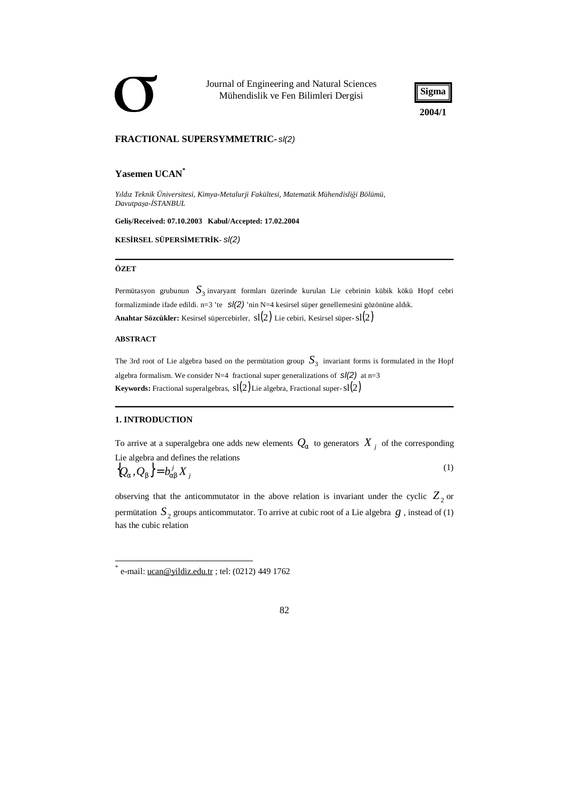Journal of Engineering and Natural Sciences Mühendislik ve Fen Bilimleri Dergisi



### **FRACTIONAL SUPERSYMMETRIC-** *sl(2)*

# **Yasemen UCAN\***

*Yıldız Teknik Üniversitesi, Kimya-Metalurji Fakültesi, Matematik Mühendisliği Bölümü, Davutpaşa-İSTANBUL* 

**Geliş/Received: 07.10.2003 Kabul/Accepted: 17.02.2004** 

**KESİRSEL SÜPERSİMETRİK-** *sl(2)*

#### **ÖZET**

Permütasyon grubunun  $S_{3}$ invaryant formları üzerinde kurulan Lie cebrinin kübik kökü Hopf cebri formalizminde ifade edildi. n=3 'te *sl(2)* 'nin N=4 kesirsel süper genellemesini gözönüne aldık. **Anahtar Sözcükler:** Kesirsel süpercebirler, sl(2) Lie cebiri, Kesirsel süper-sl(2)

### **ABSTRACT**

The 3rd root of Lie algebra based on the permütation group  $S_3^{\phantom 1}$  invariant forms is formulated in the Hopf algebra formalism. We consider N=4 fractional super generalizations of *sl(2)* at n=3 **Keywords:** Fractional superalgebras,  $sl(2)$  Lie algebra, Fractional super- $sl(2)$ 

## **1. INTRODUCTION**

To arrive at a superalgebra one adds new elements  $Q_a$  to generators  $X_j$  of the corresponding Lie algebra and defines the relations

$$
\{Q_a, Q_b\} = b_{ab}^j X_j \tag{1}
$$

observing that the anticommutator in the above relation is invariant under the cyclic  $Z_2$  or permutation  $S_2$  groups anticommutator. To arrive at cubic root of a Lie algebra  $g$  , instead of (1) has the cubic relation

<sup>\*</sup> e-mail: [ucan@yildiz.edu.tr](mailto:ucan@yildiz.edu.tr) ; tel: (0212) 449 1762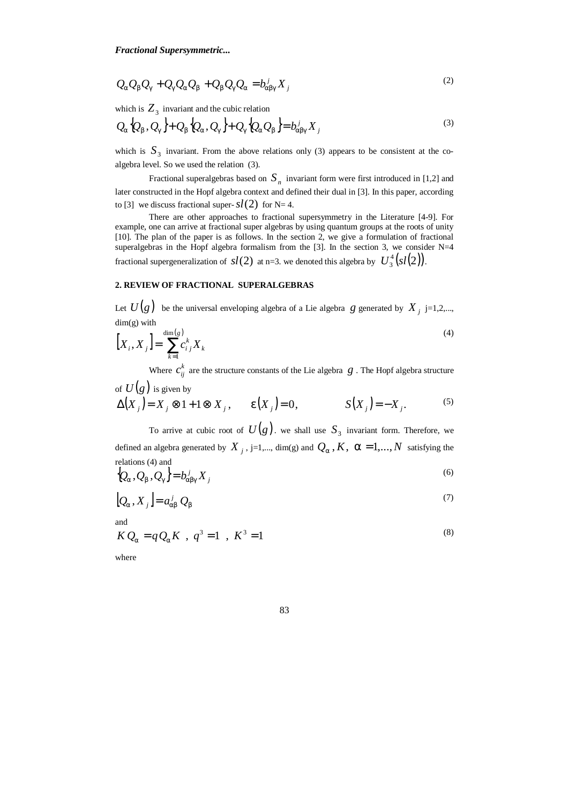$$
Q_a Q_b Q_g + Q_g Q_a Q_b + Q_b Q_g Q_a = b_{\text{abs}}^j X_j
$$
\n<sup>(2)</sup>

which is  $Z_3$  invariant and the cubic relation

$$
Q_a \{Q_b, Q_g\} + Q_b \{Q_a, Q_g\} + Q_g \{Q_a Q_b\} = b_{\text{abg}}^j X_j
$$
\n<sup>(3)</sup>

which is  $S_3$  invariant. From the above relations only (3) appears to be consistent at the coalgebra level. So we used the relation (3).

Fractional superalgebras based on  $S_n$  invariant form were first introduced in [1,2] and later constructed in the Hopf algebra context and defined their dual in [3]. In this paper, according to [3] we discuss fractional super- $sl(2)$  for N= 4.

There are other approaches to fractional supersymmetry in the Literature [4-9]. For example, one can arrive at fractional super algebras by using quantum groups at the roots of unity [10]. The plan of the paper is as follows. In the section 2, we give a formulation of fractional superalgebras in the Hopf algebra formalism from the [3]. In the section 3, we consider N=4 fractional supergeneralization of  $sl(2)$  at n=3. we denoted this algebra by  $U^4_3(sl(2))$  $U^4_3(sl(2))$ .

# **2. REVIEW OF FRACTIONAL SUPERALGEBRAS**

Let  $U(g)$  be the universal enveloping algebra of a Lie algebra g generated by  $X_j$  j=1,2,..., dim(g) with

$$
\left[X_i, X_j\right] = \sum_{k=1}^{\dim(s)} c_{ij}^k X_k \tag{4}
$$

Where  $c_{ij}^k$  are the structure constants of the Lie algebra  $g$  . The Hopf algebra structure

of 
$$
U(g)
$$
 is given by  
\n
$$
\Delta(X_j) = X_j \otimes 1 + 1 \otimes X_j, \qquad e(X_j) = 0, \qquad S(X_j) = -X_j.
$$
\n(5)

To arrive at cubic root of  $U(g)$ . we shall use  $S_3$  invariant form. Therefore, we defined an algebra generated by  $X_j$ , j=1,..., dim(g) and  $Q_a$ ,  $K$ ,  $a = 1,..., N$  satisfying the relations (4) and

$$
\left\{Q_a, Q_b, Q_g\right\} = b_{\text{alg}}^j X_j \tag{6}
$$

$$
[Q_a, X_j] = a_{ab}^j Q_b \tag{7}
$$

and

$$
KQ_a = qQ_a K , q^3 = 1 , K^3 = 1
$$
 (8)

where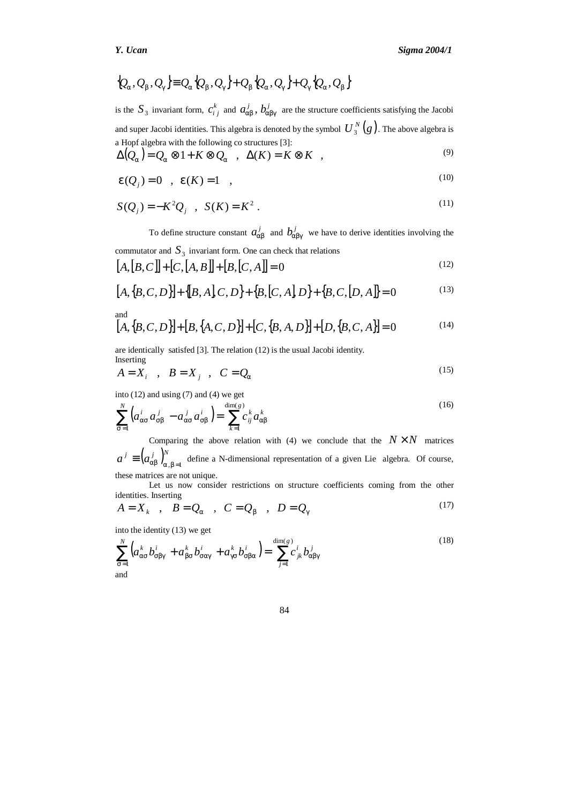$$
\{Q_a, Q_b, Q_g\} \equiv Q_a \{Q_b, Q_g\} + Q_b \{Q_a, Q_g\} + Q_g \{Q_a, Q_b\}
$$

is the  $S_3$  invariant form,  $c_i^k$  $c_{ij}^k$  and  $a_{ab}^j$ ,  $b_{abg}^j$  are the structure coefficients satisfying the Jacobi and super Jacobi identities. This algebra is denoted by the symbol  $U_{\frac{3}{2}}^N(g)$  $\binom{N}{3}$  (g). The above algebra is a Hopf algebra with the following co structures [3]:

$$
\Delta(Q_a) = Q_a \otimes 1 + K \otimes Q_a \quad , \quad \Delta(K) = K \otimes K \quad , \tag{9}
$$

$$
e(Q_j)=0
$$
,  $e(K)=1$ , (10)

$$
S(Q_j) = -K^2 Q_j \quad , \quad S(K) = K^2 \; . \tag{11}
$$

To define structure constant  $a_{ab}^j$  and  $b_{abg}^j$  we have to derive identities involving the  $commutator$  and  $S<sub>3</sub>$  invariant form. One can check that relations

$$
[A,[B,C]] + [C,[A,B]] + [B,[C,A]] = 0 \tag{12}
$$

$$
[A, {B, C, D}] + { [B, A], C, D} + {B, [C, A], D} + {B, C, [D, A]} = 0
$$
\n(13)

and  
\n
$$
[A, {B, C, D}] + [B, {A, C, D}] + [C, {B, A, D}] + [D, {B, C, A}] = 0
$$
\n(14)

are identically satisfed [3]. The relation (12) is the usual Jacobi identity. Inserting

$$
A = X_i \quad , \quad B = X_j \quad , \quad C = Q_a \tag{15}
$$

into (12) and using (7) and (4) we get

$$
\sum_{s=1}^{N} \left( a_{as}^{i} a_{sb}^{j} - a_{as}^{j} a_{sb}^{i} \right) = \sum_{k=1}^{\dim(g)} c_{ij}^{k} a_{ab}^{k}
$$
\n(16)

Comparing the above relation with (4) we conclude that the  $N \times N$  matrices  $a^j \equiv (a_{ab}^j)_{a,b=1}^N$  define a N-dimensional representation of a given Lie algebra. Of course, these matrices are not unique.

Let us now consider restrictions on structure coefficients coming from the other identities. Inserting

$$
A = X_k \quad , \quad B = Q_a \quad , \quad C = Q_b \quad , \quad D = Q_g \tag{17}
$$

into the identity (13) we get

$$
\sum_{s=1}^{N} \left( a_{as}^{k} b_{sbg}^{i} + a_{bs}^{k} b_{sag}^{i} + a_{gs}^{k} b_{sba}^{i} \right) = \sum_{j=1}^{\dim(g)} c_{jk}^{i} b_{abg}^{j}
$$
\n(18)

84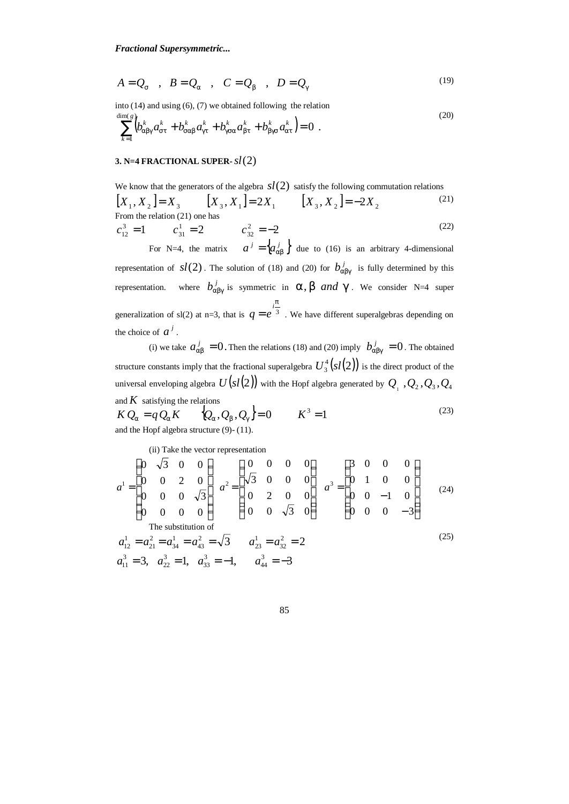$$
A = Q_s \quad , \quad B = Q_a \quad , \quad C = Q_b \quad , \quad D = Q_g \tag{19}
$$

into (14) and using (6), (7) we obtained following the relation

$$
\sum_{k=1}^{\dim(s)} \left( b_{\text{abg}}^k a_{st}^k + b_{\text{sab}}^k a_{gt}^k + b_{\text{gsa}}^k a_{bt}^k + b_{\text{hgs}}^k a_{at}^k \right) = 0 \tag{20}
$$

## **3. N=4 FRACTIONAL SUPER-***sl* )2(

We know that the generators of the algebra  $sl(2)$  satisfy the following commutation relations  $[X_1, X_2] = X_3$   $[X_3, X_1] = 2X_1$   $[X_3, X_2] = -2X_2$ (21) From the relation (21) one has

$$
c_{12}^3 = 1 \qquad c_{31}^1 = 2 \qquad c_{32}^2 = -2 \tag{22}
$$

For N=4, the matrix  $a^j = \begin{cases} a_{ab}^j \end{cases}$  due to (16) is an arbitrary 4-dimensional representation of  $sl(2)$ . The solution of (18) and (20) for  $b_{\text{abg}}^j$  is fully determined by this representation.  $b_{\text{abg}}^{j}$  is symmetric in  $a, b$  *and*  $g$ . We consider N=4 super generalization of sl(2) at n=3, that is  $q = e^{-3}$  $q = e^{\int \frac{iP}{3}}$ . We have different superalgebras depending on the choice of  $a^j$ .

(i) we take  $a_{ab}^j = 0$ . Then the relations (18) and (20) imply  $b_{abg}^j = 0$ . The obtained structure constants imply that the fractional superalgebra  $U_3^4(sl(2))$  $U_3^4(sl(2))$  is the direct product of the universal enveloping algebra  $\,U\big(s l \big(2\big)\!\big)$  with the Hopf algebra generated by  $\,\mathcal{Q}_{{}_1}\,$  ,  $\mathcal{Q}_{{}_2}$  ,  $\mathcal{Q}_{{}_3}$  ,  $\mathcal{Q}_{{}_4}$ and  $K$  satisfying the relations

$$
KQ_a = qQ_a K \qquad Q_a, Q_b, Q_g = 0 \qquad K^3 = 1
$$
  
and the Hopf algebra structure (9)-(11). (23)

(ii) Take the vector representation

$$
a^{1} = \begin{pmatrix} 0 & \sqrt{3} & 0 & 0 \\ 0 & 0 & 2 & 0 \\ 0 & 0 & 0 & \sqrt{3} \\ 0 & 0 & 0 & 0 \end{pmatrix} \quad a^{2} = \begin{pmatrix} 0 & 0 & 0 & 0 \\ \sqrt{3} & 0 & 0 & 0 \\ 0 & 2 & 0 & 0 \\ 0 & 0 & \sqrt{3} & 0 \end{pmatrix} \quad a^{3} = \begin{pmatrix} 3 & 0 & 0 & 0 \\ 0 & 1 & 0 & 0 \\ 0 & 0 & -1 & 0 \\ 0 & 0 & 0 & -3 \end{pmatrix}
$$
(24)  
The substitution of  

$$
a_{12}^{1} = a_{21}^{2} = a_{34}^{1} = a_{43}^{2} = \sqrt{3} \qquad a_{23}^{1} = a_{32}^{2} = 2
$$
(25)  

$$
a_{11}^{3} = 3, \quad a_{22}^{3} = 1, \quad a_{33}^{3} = -1, \qquad a_{44}^{3} = -3
$$

85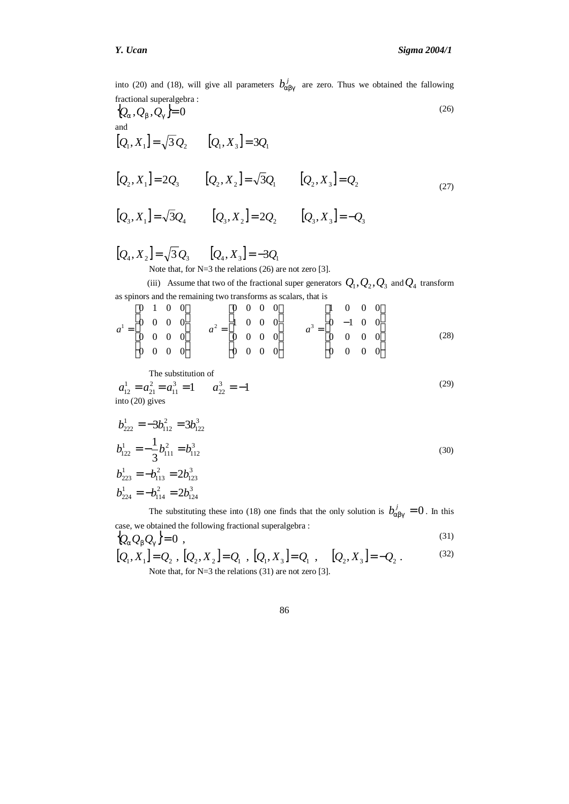into (20) and (18), will give all parameters  $b_{\text{abg}}^j$  are zero. Thus we obtained the fallowing fractional superalgebra :  $\left\{\mathcal{Q}_a,\mathcal{Q}_b,\mathcal{Q}_g\right\}=0$ (26) and  $[Q_1, X_1] = \sqrt{3} Q_2$   $[Q_1, X_3] = 3Q_1$  $[Q_2, X_1] = 2Q_3$   $[Q_2, X_2] = \sqrt{3}Q_1$   $[Q_2, X_3] = Q_2$  $[Q_3, X_1] = \sqrt{3}Q_4$   $[Q_3, X_2] = 2Q_2$   $[Q_3, X_3] = -Q_3$  $[Q_4, X_2] = \sqrt{3} Q_3$   $[Q_4, X_3] = -3Q_1$ (27) Note that, for N=3 the relations (26) are not zero [3]. (iii) Assume that two of the fractional super generators  $Q_1, Q_2, Q_3$  and  $Q_4$  transform as spinors and the remaining two transforms as scalars, that is  $\overline{\phantom{a}}$  $\overline{\phantom{a}}$  $\overline{\phantom{a}}$  $\overline{\phantom{a}}$  $\overline{\phantom{a}}$  $\overline{\phantom{a}}$ L L L L L L  $=\begin{vmatrix} 0 & - \\ 0 & 0 \end{vmatrix}$  $\overline{\phantom{a}}$  $\overline{\phantom{a}}$  $\overline{\phantom{a}}$  $\overline{\phantom{a}}$ J  $\overline{\phantom{a}}$ L L L L L L =  $\overline{\phantom{a}}$  $\overline{\phantom{a}}$  $\overline{\phantom{a}}$  $\overline{\phantom{a}}$  $\overline{\phantom{a}}$  $\overline{\phantom{a}}$ L L L L L L = 0000 0000  $0 -1 0 0$ 0001 0000 0000 0001 0000 0000 0000 0000 0010  $a^1 = \begin{bmatrix} 0 & 0 & 0 & 0 \\ 0 & 0 & 0 & 0 \\ 0 & 0 & 0 & 0 \end{bmatrix}$   $a^2 = \begin{bmatrix} 1 & 0 & 0 & 0 \\ 0 & 0 & 0 & 0 \\ 0 & 0 & 0 & 0 \end{bmatrix}$   $a^3$ (28) The substitution of 1  $a_{22}^3 = -1$ 22 3 11 2 21  $a_{12}^1 = a_{21}^2 = a_{11}^3 = 1$   $a_{22}^3 = -$ (29) into (20) gives 3 122 2 112 1  $b_{222}^1 = -3b_{112}^2 = 3b_1$ 

$$
b_{122}^1 = -\frac{1}{3}b_{111}^2 = b_{112}^3
$$
  
\n
$$
b_{223}^1 = -b_{113}^2 = 2b_{123}^3
$$
  
\n
$$
b_{224}^1 = -b_{114}^2 = 2b_{124}^3
$$
\n(30)

The substituting these into (18) one finds that the only solution is  $b_{\text{abg}}^j = 0$ . In this case, we obtained the following fractional superalgebra :  $(31)$ 

$$
\{Q_a Q_b Q_g\} = 0 \tag{31}
$$

$$
[Q_1, X_1] = Q_2, [Q_2, X_2] = Q_1, [Q_1, X_3] = Q_1, [Q_2, X_3] = -Q_2.
$$
  
Note that, for N=3 the relations (31) are not zero [3].